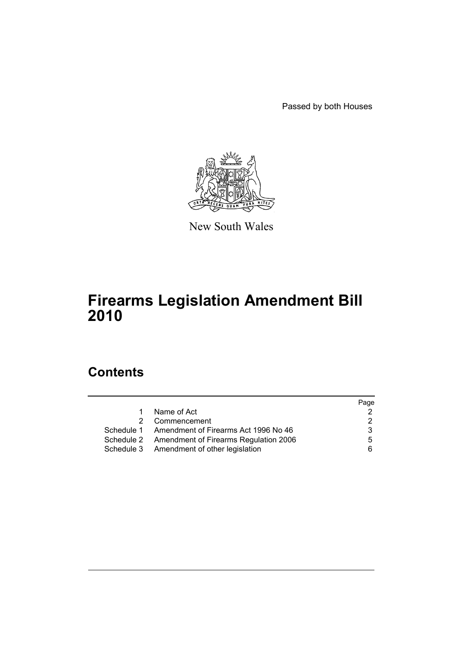Passed by both Houses



New South Wales

# **Firearms Legislation Amendment Bill 2010**

# **Contents**

|                                                  | Page |
|--------------------------------------------------|------|
| Name of Act<br>$1 \quad$                         |      |
| 2 Commencement                                   | 2    |
| Schedule 1 Amendment of Firearms Act 1996 No 46  | 3    |
| Schedule 2 Amendment of Firearms Regulation 2006 | 5    |
| Schedule 3 Amendment of other legislation        | 6.   |
|                                                  |      |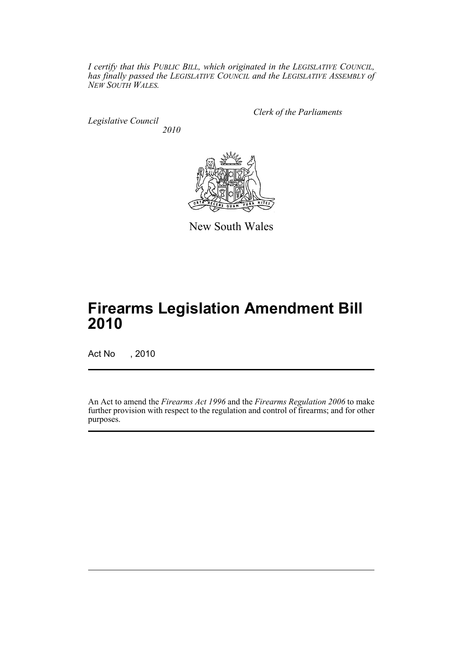*I certify that this PUBLIC BILL, which originated in the LEGISLATIVE COUNCIL, has finally passed the LEGISLATIVE COUNCIL and the LEGISLATIVE ASSEMBLY of NEW SOUTH WALES.*

*Legislative Council 2010* *Clerk of the Parliaments*



New South Wales

# **Firearms Legislation Amendment Bill 2010**

Act No , 2010

An Act to amend the *Firearms Act 1996* and the *Firearms Regulation 2006* to make further provision with respect to the regulation and control of firearms; and for other purposes.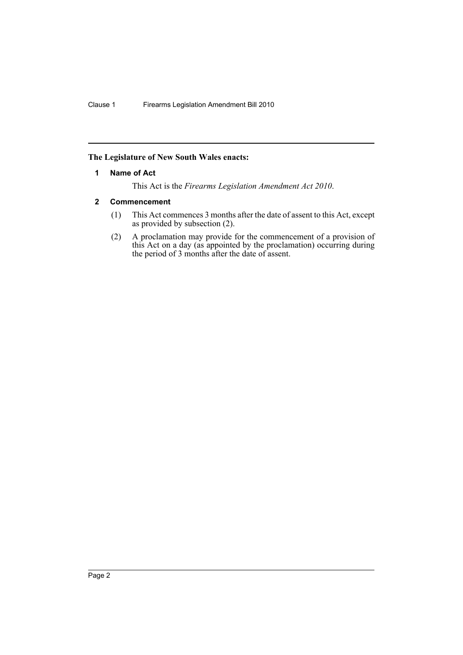# <span id="page-3-0"></span>**The Legislature of New South Wales enacts:**

## **1 Name of Act**

This Act is the *Firearms Legislation Amendment Act 2010*.

## <span id="page-3-1"></span>**2 Commencement**

- (1) This Act commences 3 months after the date of assent to this Act, except as provided by subsection (2).
- (2) A proclamation may provide for the commencement of a provision of this Act on a day (as appointed by the proclamation) occurring during the period of 3 months after the date of assent.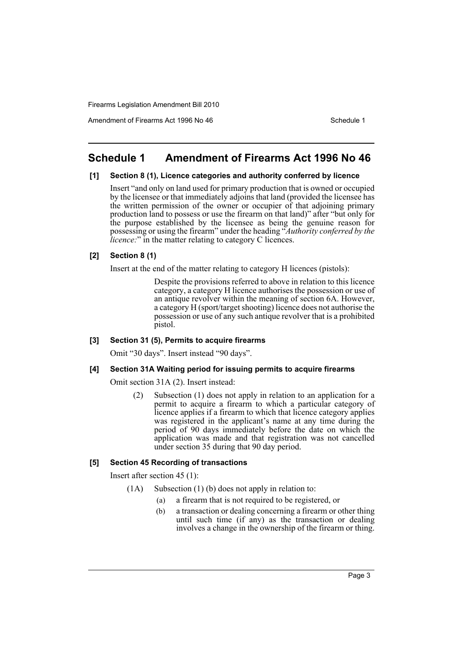Amendment of Firearms Act 1996 No 46 Schedule 1

# <span id="page-4-0"></span>**Schedule 1 Amendment of Firearms Act 1996 No 46**

## **[1] Section 8 (1), Licence categories and authority conferred by licence**

Insert "and only on land used for primary production that is owned or occupied by the licensee or that immediately adjoins that land (provided the licensee has the written permission of the owner or occupier of that adjoining primary production land to possess or use the firearm on that land)" after "but only for the purpose established by the licensee as being the genuine reason for possessing or using the firearm" under the heading "*Authority conferred by the licence:*" in the matter relating to category C licences.

## **[2] Section 8 (1)**

Insert at the end of the matter relating to category H licences (pistols):

Despite the provisions referred to above in relation to this licence category, a category H licence authorises the possession or use of an antique revolver within the meaning of section 6A. However, a category H (sport/target shooting) licence does not authorise the possession or use of any such antique revolver that is a prohibited pistol.

#### **[3] Section 31 (5), Permits to acquire firearms**

Omit "30 days". Insert instead "90 days".

#### **[4] Section 31A Waiting period for issuing permits to acquire firearms**

Omit section 31A (2). Insert instead:

(2) Subsection (1) does not apply in relation to an application for a permit to acquire a firearm to which a particular category of licence applies if a firearm to which that licence category applies was registered in the applicant's name at any time during the period of 90 days immediately before the date on which the application was made and that registration was not cancelled under section 35 during that 90 day period.

#### **[5] Section 45 Recording of transactions**

Insert after section 45 (1):

- (1A) Subsection (1) (b) does not apply in relation to:
	- (a) a firearm that is not required to be registered, or
	- (b) a transaction or dealing concerning a firearm or other thing until such time (if any) as the transaction or dealing involves a change in the ownership of the firearm or thing.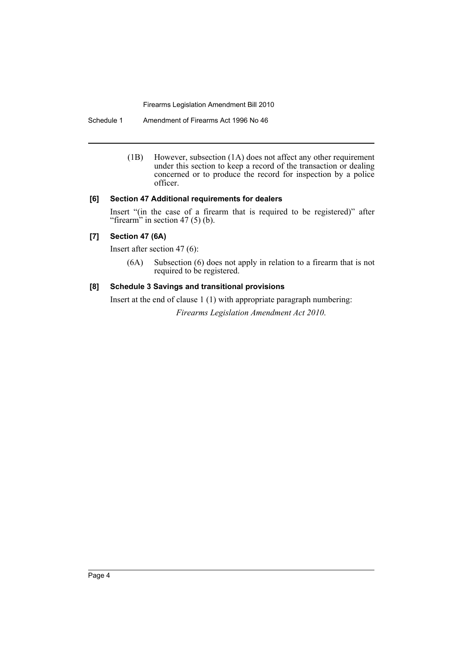Schedule 1 Amendment of Firearms Act 1996 No 46

(1B) However, subsection (1A) does not affect any other requirement under this section to keep a record of the transaction or dealing concerned or to produce the record for inspection by a police officer.

## **[6] Section 47 Additional requirements for dealers**

Insert "(in the case of a firearm that is required to be registered)" after "firearm" in section  $47(5)(b)$ .

# **[7] Section 47 (6A)**

Insert after section 47 (6):

(6A) Subsection (6) does not apply in relation to a firearm that is not required to be registered.

# **[8] Schedule 3 Savings and transitional provisions**

Insert at the end of clause 1 (1) with appropriate paragraph numbering: *Firearms Legislation Amendment Act 2010*.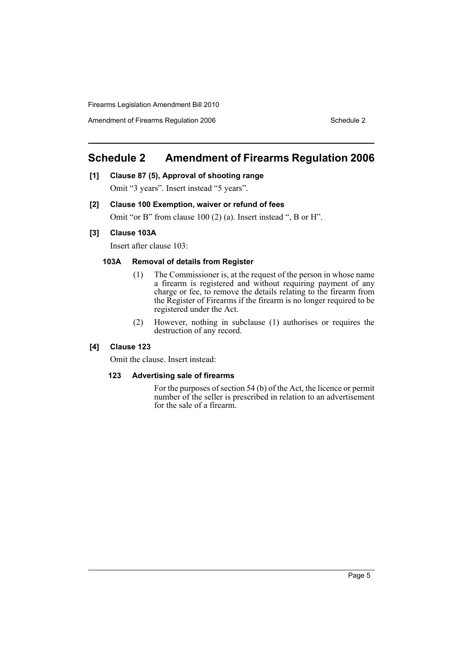Amendment of Firearms Regulation 2006 Schedule 2

# <span id="page-6-0"></span>**Schedule 2 Amendment of Firearms Regulation 2006**

**[1] Clause 87 (5), Approval of shooting range**

Omit "3 years". Insert instead "5 years".

# **[2] Clause 100 Exemption, waiver or refund of fees**

Omit "or B" from clause 100 (2) (a). Insert instead ", B or H".

## **[3] Clause 103A**

Insert after clause 103:

# **103A Removal of details from Register**

- (1) The Commissioner is, at the request of the person in whose name a firearm is registered and without requiring payment of any charge or fee, to remove the details relating to the firearm from the Register of Firearms if the firearm is no longer required to be registered under the Act.
- (2) However, nothing in subclause (1) authorises or requires the destruction of any record.

# **[4] Clause 123**

Omit the clause. Insert instead:

#### **123 Advertising sale of firearms**

For the purposes of section 54 (b) of the Act, the licence or permit number of the seller is prescribed in relation to an advertisement for the sale of a firearm.